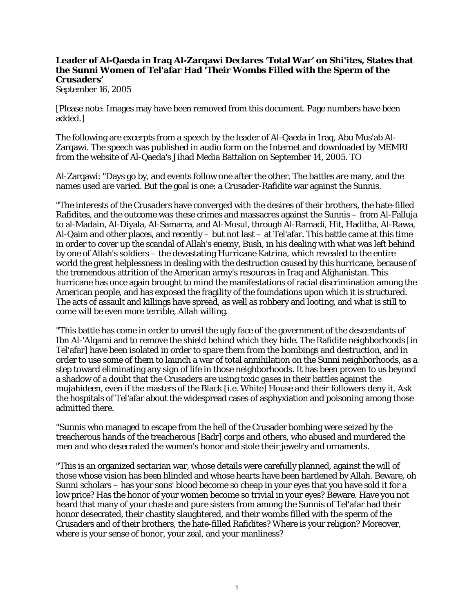## **Leader of Al-Qaeda in Iraq Al-Zarqawi Declares 'Total War' on Shi'ites, States that the Sunni Women of Tel'afar Had 'Their Wombs Filled with the Sperm of the Crusaders'**

September 16, 2005

[Please note: Images may have been removed from this document. Page numbers have been added.]

The following are excerpts from a speech by the leader of Al-Qaeda in Iraq, Abu Mus'ab Al-Zarqawi. The speech was published in audio form on the Internet and downloaded by MEMRI from the website of Al-Qaeda's Jihad Media Battalion on September 14, 2005. TO

Al-Zarqawi: "Days go by, and events follow one after the other. The battles are many, and the names used are varied. But the goal is one: a Crusader-Rafidite war against the Sunnis.

"The interests of the Crusaders have converged with the desires of their brothers, the hate-filled Rafidites, and the outcome was these crimes and massacres against the Sunnis – from Al-Falluja to al-Madain, Al-Diyala, Al-Samarra, and Al-Mosul, through Al-Ramadi, Hit, Haditha, Al-Rawa, Al-Qaim and other places, and recently – but not last – at Tel'afar. This battle came at this time in order to cover up the scandal of Allah's enemy, Bush, in his dealing with what was left behind by one of Allah's soldiers – the devastating Hurricane Katrina, which revealed to the entire world the great helplessness in dealing with the destruction caused by this hurricane, because of the tremendous attrition of the American army's resources in Iraq and Afghanistan. This hurricane has once again brought to mind the manifestations of racial discrimination among the American people, and has exposed the fragility of the foundations upon which it is structured. The acts of assault and killings have spread, as well as robbery and looting, and what is still to come will be even more terrible, Allah willing.

"This battle has come in order to unveil the ugly face of the government of the descendants of Ibn Al-'Alqami and to remove the shield behind which they hide. The Rafidite neighborhoods [in Tel'afar] have been isolated in order to spare them from the bombings and destruction, and in order to use some of them to launch a war of total annihilation on the Sunni neighborhoods, as a step toward eliminating any sign of life in those neighborhoods. It has been proven to us beyond a shadow of a doubt that the Crusaders are using toxic gases in their battles against the mujahideen, even if the masters of the Black [i.e. White] House and their followers deny it. Ask the hospitals of Tel'afar about the widespread cases of asphyxiation and poisoning among those admitted there.

"Sunnis who managed to escape from the hell of the Crusader bombing were seized by the treacherous hands of the treacherous [Badr] corps and others, who abused and murdered the men and who desecrated the women's honor and stole their jewelry and ornaments.

"This is an organized sectarian war, whose details were carefully planned, against the will of those whose vision has been blinded and whose hearts have been hardened by Allah. Beware, oh Sunni scholars – has your sons' blood become so cheap in your eyes that you have sold it for a low price? Has the honor of your women become so trivial in your eyes? Beware. Have you not heard that many of your chaste and pure sisters from among the Sunnis of Tel'afar had their honor desecrated, their chastity slaughtered, and their wombs filled with the sperm of the Crusaders and of their brothers, the hate-filled Rafidites? Where is your religion? Moreover, where is your sense of honor, your zeal, and your manliness?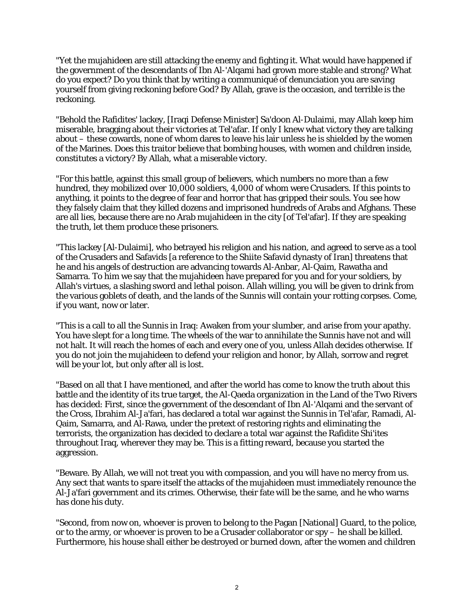"Yet the mujahideen are still attacking the enemy and fighting it. What would have happened if the government of the descendants of Ibn Al-'Alqami had grown more stable and strong? What do you expect? Do you think that by writing a communiqué of denunciation you are saving yourself from giving reckoning before God? By Allah, grave is the occasion, and terrible is the reckoning.

"Behold the Rafidites' lackey, [Iraqi Defense Minister] Sa'doon Al-Dulaimi, may Allah keep him miserable, bragging about their victories at Tel'afar. If only I knew what victory they are talking about – these cowards, none of whom dares to leave his lair unless he is shielded by the women of the Marines. Does this traitor believe that bombing houses, with women and children inside, constitutes a victory? By Allah, what a miserable victory.

"For this battle, against this small group of believers, which numbers no more than a few hundred, they mobilized over 10,000 soldiers, 4,000 of whom were Crusaders. If this points to anything, it points to the degree of fear and horror that has gripped their souls. You see how they falsely claim that they killed dozens and imprisoned hundreds of Arabs and Afghans. These are all lies, because there are no Arab mujahideen in the city [of Tel'afar]. If they are speaking the truth, let them produce these prisoners.

"This lackey [Al-Dulaimi], who betrayed his religion and his nation, and agreed to serve as a tool of the Crusaders and Safavids [a reference to the Shiite Safavid dynasty of Iran] threatens that he and his angels of destruction are advancing towards Al-Anbar, Al-Qaim, Rawatha and Samarra. To him we say that the mujahideen have prepared for you and for your soldiers, by Allah's virtues, a slashing sword and lethal poison. Allah willing, you will be given to drink from the various goblets of death, and the lands of the Sunnis will contain your rotting corpses. Come, if you want, now or later.

"This is a call to all the Sunnis in Iraq: Awaken from your slumber, and arise from your apathy. You have slept for a long time. The wheels of the war to annihilate the Sunnis have not and will not halt. It will reach the homes of each and every one of you, unless Allah decides otherwise. If you do not join the mujahideen to defend your religion and honor, by Allah, sorrow and regret will be your lot, but only after all is lost.

"Based on all that I have mentioned, and after the world has come to know the truth about this battle and the identity of its true target, the Al-Qaeda organization in the Land of the Two Rivers has decided: First, since the government of the descendant of Ibn Al-'Alqami and the servant of the Cross, Ibrahim Al-Ja'fari, has declared a total war against the Sunnis in Tel'afar, Ramadi, Al-Qaim, Samarra, and Al-Rawa, under the pretext of restoring rights and eliminating the terrorists, the organization has decided to declare a total war against the Rafidite Shi'ites throughout Iraq, wherever they may be. This is a fitting reward, because you started the aggression.

"Beware. By Allah, we will not treat you with compassion, and you will have no mercy from us. Any sect that wants to spare itself the attacks of the mujahideen must immediately renounce the Al-Ja'fari government and its crimes. Otherwise, their fate will be the same, and he who warns has done his duty.

"Second, from now on, whoever is proven to belong to the Pagan [National] Guard, to the police, or to the army, or whoever is proven to be a Crusader collaborator or spy – he shall be killed. Furthermore, his house shall either be destroyed or burned down, after the women and children